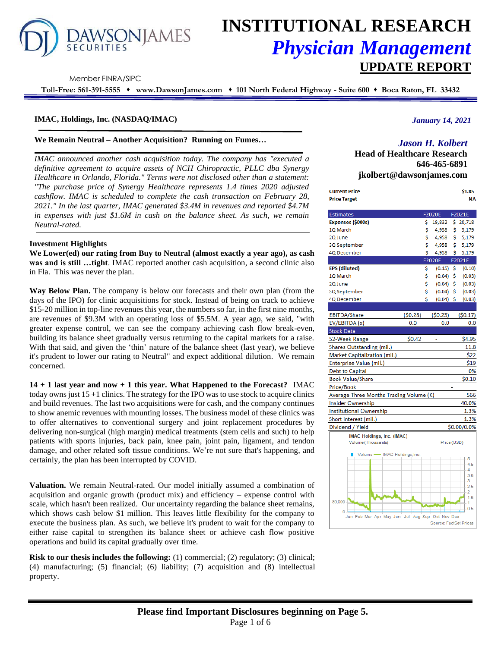# **AWSONJAMES**

# **INSTITUTIONAL RESEARCH** *Physician Management* **UPDATE REPORT**

Member FINRA/SIPC

**Toll-Free: 561-391-5555** ⬧ **www.DawsonJames.com** ⬧ **101 North Federal Highway - Suite 600** ⬧ **Boca Raton, FL 33432**

# **IMAC, Holdings, Inc. (NASDAQ/IMAC)**

#### **We Remain Neutral – Another Acquisition? Running on Fumes…**

*IMAC announced another cash acquisition today. The company has "executed a definitive agreement to acquire assets of NCH Chiropractic, PLLC dba Synergy Healthcare in Orlando, Florida." Terms were not disclosed other than a statement: "The purchase price of Synergy Healthcare represents 1.4 times 2020 adjusted cashflow. IMAC is scheduled to complete the cash transaction on February 28, 2021." In the last quarter, IMAC generated \$3.4M in revenues and reported \$4.7M in expenses with just \$1.6M in cash on the balance sheet. As such, we remain Neutral-rated.*

#### **Investment Highlights**

**We Lower(ed) our rating from Buy to Neutral (almost exactly a year ago), as cash was and is still …tight**. IMAC reported another cash acquisition, a second clinic also in Fla. This was never the plan.

**Way Below Plan.** The company is below our forecasts and their own plan (from the days of the IPO) for clinic acquisitions for stock. Instead of being on track to achieve \$15-20 million in top-line revenues this year, the numbers so far, in the first nine months, are revenues of \$9.3M with an operating loss of \$5.5M. A year ago, we said, "with greater expense control, we can see the company achieving cash flow break-even, building its balance sheet gradually versus returning to the capital markets for a raise. With that said, and given the 'thin' nature of the balance sheet (last year), we believe it's prudent to lower our rating to Neutral" and expect additional dilution. We remain concerned.

**14 + 1 last year and now + 1 this year. What Happened to the Forecast?** IMAC today owns just  $15 + 1$  clinics. The strategy for the IPO was to use stock to acquire clinics and build revenues. The last two acquisitions were for cash, and the company continues to show anemic revenues with mounting losses. The business model of these clinics was to offer alternatives to conventional surgery and joint replacement procedures by delivering non-surgical (high margin) medical treatments (stem cells and such) to help patients with sports injuries, back pain, knee pain, joint pain, ligament, and tendon damage, and other related soft tissue conditions. We're not sure that's happening, and certainly, the plan has been interrupted by COVID.

**Valuation.** We remain Neutral-rated. Our model initially assumed a combination of acquisition and organic growth (product mix) and efficiency – expense control with scale, which hasn't been realized. Our uncertainty regarding the balance sheet remains, which shows cash below \$1 million. This leaves little flexibility for the company to execute the business plan. As such, we believe it's prudent to wait for the company to either raise capital to strengthen its balance sheet or achieve cash flow positive operations and build its capital gradually over time.

**Risk to our thesis includes the following:** (1) commercial; (2) regulatory; (3) clinical; (4) manufacturing; (5) financial; (6) liability; (7) acquisition and (8) intellectual property.

# *January 14, 2021*

# *Jason H. Kolbert*

**Head of Healthcare Research 646-465-6891 jkolbert@dawsonjames.com**

| <b>Current Price</b>                                 |         |    |                        |    | \$1.85      |
|------------------------------------------------------|---------|----|------------------------|----|-------------|
| <b>Price Target</b>                                  |         |    |                        |    | <b>NA</b>   |
|                                                      |         |    |                        |    |             |
| <b>Estimates</b>                                     |         |    | <b>F2020E</b>          |    | F2021E      |
| Expenses (\$000s)                                    |         | \$ | 19,832                 |    | \$20,718    |
| 1Q March                                             |         | \$ | 4,958                  | \$ | 5,179       |
| 2Q June                                              |         | \$ | 4,958                  | \$ | 5,179       |
| 3Q September                                         |         | Ś  | 4,958                  | \$ | 5,179       |
| 4Q December                                          |         | \$ | 4,958                  | Ś  | 5,179       |
|                                                      |         |    | <b>F2020E</b>          |    | F2021E      |
| <b>EPS</b> (diluted)                                 |         | \$ | $(0.15)$ \$            |    | (0.10)      |
| 1Q March                                             |         | \$ | (0.04)                 | \$ | (0.03)      |
| 2Q June                                              |         | \$ | $(0.04)$ \$            |    | (0.03)      |
| 3Q September                                         |         | Ś  | $(0.04)$ \$            |    | (0.03)      |
| 4Q December                                          |         | Ś  | $(0.04)$ \$            |    | (0.03)      |
|                                                      |         |    |                        |    |             |
| <b>EBITDA/Share</b>                                  | (50.28) |    | (50.23)                |    | (50.17)     |
| EV/EBITDA (x)                                        | 0.0     |    | 0.0                    |    | 0.0         |
| <b>Stock Data</b>                                    |         |    |                        |    |             |
| 52-Week Range                                        | \$0.42  |    |                        |    | \$4.95      |
| Shares Outstanding (mil.)                            |         |    |                        |    | 11.8        |
| Market Capitalization (mil.)                         |         |    |                        |    | \$22        |
| Enterprise Value (mil.)                              |         |    |                        |    | \$19        |
| <b>Debt to Capital</b>                               |         |    |                        |    | 0%          |
| <b>Book Value/Share</b>                              |         |    |                        |    | \$0.10      |
| Price/Book                                           |         |    |                        |    |             |
| Average Three Months Trading Volume (K)              |         |    |                        |    | 566         |
| <b>Insider Ownership</b>                             |         |    |                        |    | 40.0%       |
| Institutional Ownership                              |         |    |                        |    | 1.3%        |
| Short interest (mil.)                                |         |    |                        |    | 1.3%        |
| Dividend / Yield                                     |         |    |                        |    | \$0.00/0.0% |
| IMAC Holdings, Inc. (IMAC)                           |         |    |                        |    |             |
| Volume (Thousands)                                   |         |    | Price (USD)            |    |             |
| Volume - IMAC Holdings, Inc.                         |         |    |                        |    |             |
|                                                      |         |    |                        |    | - 5         |
|                                                      |         |    |                        |    | 4.5<br>4    |
|                                                      |         |    |                        |    | 3.5         |
|                                                      |         |    |                        |    | 3           |
|                                                      |         |    |                        |    | 2.5<br>2    |
|                                                      |         |    |                        |    | 1.5         |
| 80,000 -                                             |         |    |                        |    | 1<br>0.5    |
| 0<br>Jan Feb Mar Apr May Jun Jul Aug Sep Oct Nov Dec |         |    |                        |    |             |
|                                                      |         |    | Source: FactSet Prices |    |             |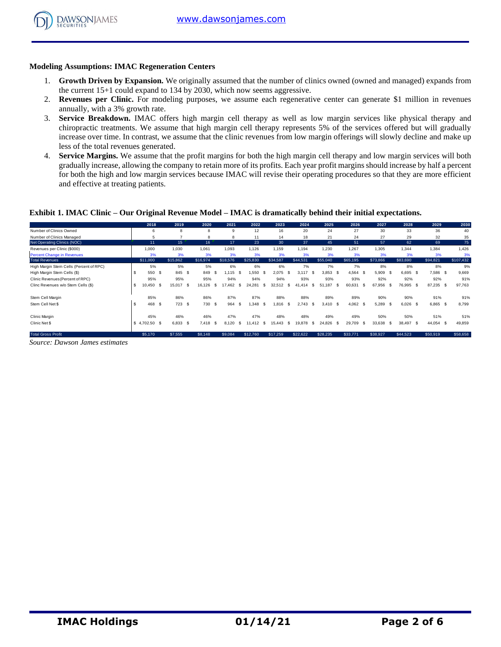

# **Modeling Assumptions: IMAC Regeneration Centers**

- 1. **Growth Driven by Expansion.** We originally assumed that the number of clinics owned (owned and managed) expands from the current 15+1 could expand to 134 by 2030, which now seems aggressive.
- 2. **Revenues per Clinic.** For modeling purposes, we assume each regenerative center can generate \$1 million in revenues annually, with a 3% growth rate.
- 3. **Service Breakdown.** IMAC offers high margin cell therapy as well as low margin services like physical therapy and chiropractic treatments. We assume that high margin cell therapy represents 5% of the services offered but will gradually increase over time. In contrast, we assume that the clinic revenues from low margin offerings will slowly decline and make up less of the total revenues generated.
- 4. **Service Margins.** We assume that the profit margins for both the high margin cell therapy and low margin services will both gradually increase, allowing the company to retain more of its profits. Each year profit margins should increase by half a percent for both the high and low margin services because IMAC will revise their operating procedures so that they are more efficient and effective at treating patients.

# **Exhibit 1. IMAC Clinic – Our Original Revenue Model – IMAC is dramatically behind their initial expectations.**

|                                                                                                               | ັ້       |               |           |                 |          |              |                  |      |            |            |                |                   |            |          |           |           |
|---------------------------------------------------------------------------------------------------------------|----------|---------------|-----------|-----------------|----------|--------------|------------------|------|------------|------------|----------------|-------------------|------------|----------|-----------|-----------|
|                                                                                                               |          |               |           |                 |          |              |                  |      |            |            |                |                   |            |          |           |           |
| Exhibit 1. IMAC Clinic – Our Original Revenue Model – IMAC is dramatically behind their initial expectations. |          |               |           |                 |          |              |                  |      |            |            |                |                   |            |          |           |           |
|                                                                                                               |          | 2018          | 2019      | 2020            | 2021     | 2022         | 2023             |      | 2024       | 2025       | 2026           | 2027              | 2028       |          | 2029      | 2030      |
| Number of Clinics Owned                                                                                       |          | 6             | 8         | 8               | 9        | 12           | 16               |      | 20         | 24         | 27             | 30                | 33         |          | 36        | 40        |
| Number of Clinics Managed                                                                                     |          | 5             |           | 8               | 8        | 11           | 14               |      | 18         | 21         | 24             | 27                | 29         |          | 32        | 35        |
| Net Operating Clinics (NOC)                                                                                   |          | 11            | 15        | 16              | 17       | 23           | 30               |      | 37         | 45         | 51             | 57                | 62         |          | 69        | 75        |
| Revenues per Clinic (\$000)                                                                                   |          | 1,000         | 1.030     | 1.061           | 1,093    | 1,126        | 1.159            |      | 1,194      | 1,230      | 1,267          | 1.305             | 1.344      | 1,384    |           | 1.426     |
| <b>Percent Change in Revenues</b>                                                                             |          | 3%            | 3%        | 3%              | 3%       | 3%           | 3%               |      | 3%         | 3%         | 3%             | 3%                | 3%         |          | 3%        | 3%        |
| <b>Total Revenues</b>                                                                                         |          | \$11,000      | \$15,862  | \$16,974        | \$18,576 | \$25,830     | \$34.587         |      | \$44.531   | \$55,040   | \$65.195       | \$73,866          | \$83,690   | \$94,821 |           | \$107,432 |
| High Margin Stem Cells (Percent of RPC)                                                                       |          | 5%            | 5%        | 5%              | 6%       | 6%           | 6%               |      | 7%         | 7%         | 7%             | 8%                | 8%         |          | 8%        | 9%        |
| High Margin Stem Cells (\$)                                                                                   |          | 550 \$        | 845 \$    | 849<br><b>s</b> | .115     | .550<br>- \$ | $2.075$ \$<br>-S |      | $3.117$ \$ | $3.853$ \$ | 4.564          | $5.909$ \$<br>-S  | 6.695 \$   |          | 7.586 \$  | 9.669     |
| Clinic Revenues (Percent of RPC)                                                                              |          | 95%           | 95%       | 95%             | 94%      | 94%          | 94%              |      | 93%        | 93%        | 93%            | 92%               | 92%        |          | 92%       | 91%       |
| Clinc Revenues w/o Stem Cells (\$)                                                                            |          | 10.450<br>- S | 15.017 \$ | 16.126<br>-S    | 17.462   | 24.281<br>s. | 32.512<br>-S     |      | 41.414     | 51.187     | 60.631<br>- \$ | 67.956 \$<br>- \$ | 76,995 \$  |          | 87,235 \$ | 97.763    |
| Stem Cell Margin                                                                                              |          | 85%           | 86%       | 86%             | 87%      | 87%          | 88%              |      | 88%        | 89%        | 89%            | 90%               | 90%        |          | 91%       | 91%       |
| Stem Cell Net \$                                                                                              | <b>S</b> | 468 \$        | 723S      | 730 \$          | 964 \$   | .348S        | $.816-5$         |      | 2.743 S    | 3.410 S    | $4,062$ \$     | 5,289 \$          | $6,026$ \$ |          | 6,865 \$  | 8.799     |
| Clinic Margin                                                                                                 |          | 45%           | 46%       | 46%             | 47%      | 47%          | 48%              |      | 48%        | 49%        | 49%            | 50%               | 50%        |          | 51%       | 51%       |
| Clinic Net \$                                                                                                 | -S       | 4,702.50 \$   | 6.833 \$  | 7,418<br>-9     | 8,120    | 11.412<br>S. | -S<br>15.443     | - \$ | 19,878     | 24,826     | 29,709<br>- \$ | 33,638 \$<br>- \$ | 38,497 \$  |          | 44,054 \$ | 49,859    |
| <b>Total Gross Profit</b>                                                                                     |          | \$5,170       | \$7,555   | \$8,148         | \$9,084  | \$12,760     | \$17,259         |      | \$22,622   | \$28,235   | \$33,771       | \$38,927          | \$44,523   | \$50,919 |           | \$58,658  |

*Source: Dawson James estimates*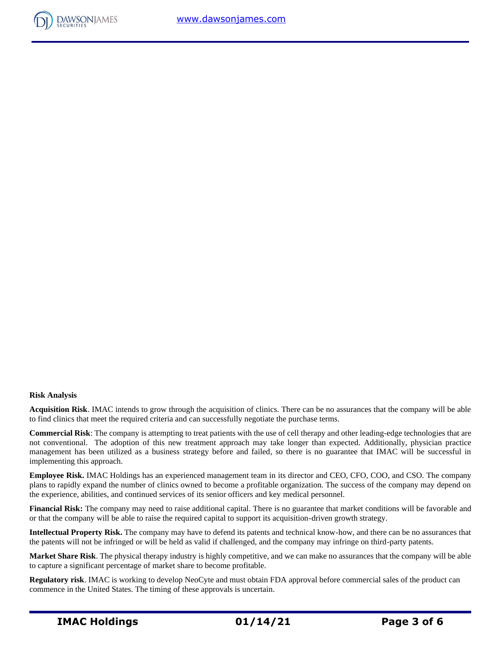



# **Risk Analysis**

**Acquisition Risk**. IMAC intends to grow through the acquisition of clinics. There can be no assurances that the company will be able to find clinics that meet the required criteria and can successfully negotiate the purchase terms.

**Commercial Risk**: The company is attempting to treat patients with the use of cell therapy and other leading-edge technologies that are not conventional. The adoption of this new treatment approach may take longer than expected. Additionally, physician practice management has been utilized as a business strategy before and failed, so there is no guarantee that IMAC will be successful in implementing this approach.

**Employee Risk.** IMAC Holdings has an experienced management team in its director and CEO, CFO, COO, and CSO. The company plans to rapidly expand the number of clinics owned to become a profitable organization. The success of the company may depend on the experience, abilities, and continued services of its senior officers and key medical personnel.

**Financial Risk:** The company may need to raise additional capital. There is no guarantee that market conditions will be favorable and or that the company will be able to raise the required capital to support its acquisition-driven growth strategy.

**Intellectual Property Risk.** The company may have to defend its patents and technical know-how, and there can be no assurances that the patents will not be infringed or will be held as valid if challenged, and the company may infringe on third-party patents.

**Market Share Risk**. The physical therapy industry is highly competitive, and we can make no assurances that the company will be able to capture a significant percentage of market share to become profitable.

**Regulatory risk**. IMAC is working to develop NeoCyte and must obtain FDA approval before commercial sales of the product can commence in the United States. The timing of these approvals is uncertain.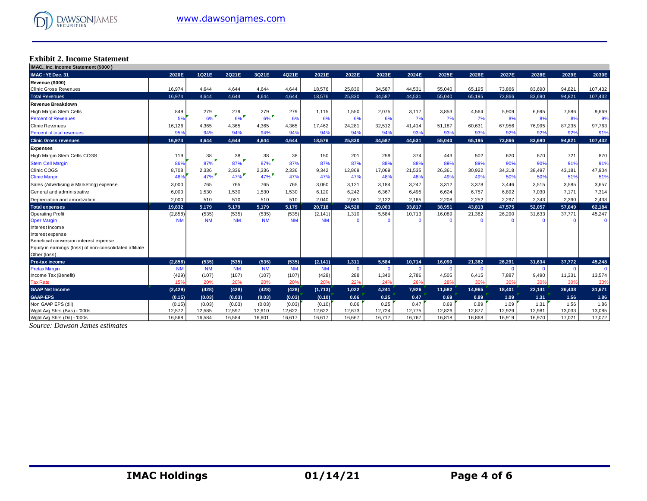#### **Exhibit 2. Income Statement**

| IMAC., Inc. Income Statement (\$000)                    |                  |                  |                  |                  |                  |                  |                |                |              |              |              |                |                |               |                |
|---------------------------------------------------------|------------------|------------------|------------------|------------------|------------------|------------------|----------------|----------------|--------------|--------------|--------------|----------------|----------------|---------------|----------------|
| IMAC: YE Dec. 31                                        | 2020E            | 1Q21E            | 2Q21E            | 3Q21E            | 4Q21E            | 2021E            | 2022E          | 2023E          | 2024E        | 2025E        | 2026E        | 2027E          | 2028E          | 2029E         | 2030E          |
| Revenue (\$000)                                         |                  |                  |                  |                  |                  |                  |                |                |              |              |              |                |                |               |                |
| <b>Clinic Gross Revenues</b>                            | 16,974           | 4.644            | 4.644            | 4.644            | 4.644            | 18.576           | 25.830         | 34.587         | 44.531       | 55.040       | 65.195       | 73.866         | 83.690         | 94.821        | 107,432        |
| <b>Total Revenues</b>                                   | 16,974           | 4.644            | 4,644            | 4,644            | 4,644            | 18,576           | 25,830         | 34,587         | 44,531       | 55,040       | 65,195       | 73,866         | 83,690         | 94,821        | 107,432        |
| Revenue Breakdown                                       |                  |                  |                  |                  |                  |                  |                |                |              |              |              |                |                |               |                |
| High Margin Stem Cells                                  | 849              | 279              | 279              | 279              | 279              | 1,115            | 1,550          | 2.075          | 3.117        | 3.853        | 4.564        | 5.909          | 6.695          | 7.586         | 9,669          |
| <b>Percent of Revenues</b>                              | 5%               | 6%               | $6\%$            | 6%               | 6%               | 6%               | 6%             | 6%             | 7%           | 7%           | 7%           | 8%             | 8%             | 8%            | 9%             |
| <b>Clinic Revenues</b>                                  | 16,126           | 4,365            | 4.365            | 4,365            | 4.365            | 17.462           | 24,281         | 32,512         | 41.414       | 51.187       | 60.631       | 67.956         | 76,995         | 87,235        | 97,763         |
| Percent of total revenues                               | 95%              | 94%              | 94%              | 94%              | 94%              | 94%              | 94%            | 94%            | 93%          | 93%          | 93%          | 92%            | 92%            | 92%           | 91%            |
| <b>Clinic Gross revenues</b>                            | 16.974           | 4.644            | 4.644            | 4.644            | 4.644            | 18,576           | 25.830         | 34.587         | 44.531       | 55.040       | 65,195       | 73,866         | 83,690         | 94.821        | 107,432        |
| <b>Expenses</b>                                         |                  |                  |                  |                  |                  |                  |                |                |              |              |              |                |                |               |                |
| High Margin Stem Cells COGS                             | 119              | 38               | 38               | 38               | 38               | 150              | 201            | 259            | 374          | 443          | 502          | 620            | 670            | 721           | 870            |
| <b>Stem Cell Margin</b>                                 | 86%              | 87%              | 87%              | 87%              | 87%              | 87%              | 87%            | 88%            | 88%          | 89%          | 89%          | 90%            | 90%            | 91%           | 91%            |
| Clinic COGS                                             | 8,708            | 2,336            | 2,336            | 2,336            | 2,336            | 9.342            | 12,869         | 17.069         | 21,535       | 26,361       | 30.922       | 34,318         | 38.497         | 43.181        | 47,904         |
| <b>Clinic Margin</b>                                    | 46%              | $47\%$           | $47\%$           | $47\%$           | 47%              | 47%              | 47%            | 48%            | 48%          | 49%          | 49%          | 50%            | 50%            | 51%           | 51%            |
| Sales (Advertising & Marketing) expense                 | 3,000            | 765              | 765              | 765              | 765              | 3,060            | 3,121          | 3,184          | 3,247        | 3,312        | 3,378        | 3,446          | 3,515          | 3,585         | 3,657          |
| General and administrative                              | 6,000            | 1,530            | 1,530            | 1,530            | 1,530            | 6,120            | 6,242          | 6,367          | 6,495        | 6,624        | 6,757        | 6,892          | 7,030          | 7.171         | 7,314          |
| Depreciation and amortization                           | 2.000            | 510              | 510              | 510              | 510              | 2.040            | 2,081          | 2,122          | 2,165        | 2,208        | 2,252        | 2,297          | 2.343          | 2,390         | 2,438          |
| <b>Total expenses</b>                                   | 19.832           | 5,179            | 5,179            | 5,179            | 5,179            | 20,718           | 24,520         | 29,003         | 33,817       | 38,951       | 43,813       | 47,575         | 52,057         | 57,049        | 62,184         |
| <b>Operating Profit</b>                                 | (2,858)          | (535)            | (535)            | (535)            | (535)            | (2, 141)         | 1,310          | 5,584          | 10,713       | 16,089       | 21,382       | 26,290         | 31.633         | 37.771        | 45,247         |
| <b>Oper Margin</b>                                      | <b>NM</b>        | <b>NM</b>        | <b>NM</b>        | <b>NM</b>        | <b>NM</b>        | <b>NM</b>        | $\Omega$       | $\Omega$       | $\Omega$     | $\Omega$     | $\mathbf{0}$ | $\mathbf{0}$   | $\Omega$       | $\Omega$      | $\Omega$       |
| Interest Income                                         |                  |                  |                  |                  |                  |                  |                |                |              |              |              |                |                |               |                |
| Interest expense                                        |                  |                  |                  |                  |                  |                  |                |                |              |              |              |                |                |               |                |
| Beneficial conversion interest expense                  |                  |                  |                  |                  |                  |                  |                |                |              |              |              |                |                |               |                |
| Equity in earnings (loss) of non-consolidated affiliate |                  |                  |                  |                  |                  |                  |                |                |              |              |              |                |                |               |                |
| Other (loss)                                            |                  |                  |                  |                  |                  |                  |                |                |              |              |              |                |                |               |                |
| <b>Pre-tax income</b>                                   | (2.858)          | (535)            | (535)            | (535)            | (535)            | (2, 141)         | 1.311          | 5.584          | 10.714       | 16.090       | 21.382       | 26.291         | 31.634         | 37.772        | 45,248         |
| <b>Pretax Margin</b>                                    | <b>NM</b>        | <b>NM</b>        | <b>NM</b>        | <b>NM</b>        | <b>NM</b>        | <b>NM</b>        | $\Omega$       | $\overline{0}$ | $\mathbf{0}$ | $\mathbf{0}$ | $\mathbf{0}$ | $\mathbf{0}$   | $\Omega$       | $\Omega$      | $\Omega$       |
| Income Tax (Benefit)<br><b>Tax Rate</b>                 | (429)<br>15%     | (107)<br>20%     | (107)<br>20%     | (107)<br>20%     | (107)<br>20%     | (428)<br>20%     | 288<br>22%     | 1,340<br>24%   | 2,786<br>26% | 4,505<br>28% | 6,415<br>30% | 7,887<br>30%   | 9,490<br>30%   | 11,331<br>30% | 13,574<br>30%  |
| <b>GAAP Net Income</b>                                  |                  |                  |                  |                  |                  |                  | 1,022          | 4,241          | 7,926        | 11,582       | 14,965       | 18,401         | 22,141         | 26,438        | 31,671         |
|                                                         | (2,429)          | (428)            | (428)            | (428)            | (428)            | (1,713)          |                |                |              |              |              |                |                |               |                |
| <b>GAAP-EPS</b>                                         | (0.15)           | (0.03)           | (0.03)           | (0.03)           | (0.03)           | (0.10)           | 0.06           | 0.25<br>0.25   | 0.47<br>0.47 | 0.69<br>0.69 | 0.89<br>0.89 | 1.09           | 1.31           | 1.56<br>1.56  | 1.86           |
| Non GAAP EPS (dil)<br>Wgtd Avg Shrs (Bas) - '000s       | (0.15)<br>12,572 | (0.03)<br>12,585 | (0.03)<br>12,597 | (0.03)<br>12,610 | (0.03)<br>12,622 | (0.10)<br>12,622 | 0.06<br>12,673 | 12,724         | 12,775       | 12,826       | 12,877       | 1.09<br>12,929 | 1.31<br>12,981 | 13,033        | 1.86<br>13,085 |
| Watd Avg Shrs (Dil) - '000s                             | 16.568           | 16.584           | 16.584           | 16.601           | 16.617           | 16.617           | 16.667         | 16.717         | 16.767       | 16.818       | 16.868       | 16.919         | 16.970         | 17.021        | 17.072         |
|                                                         |                  |                  |                  |                  |                  |                  |                |                |              |              |              |                |                |               |                |

*Source: Dawson James estimates*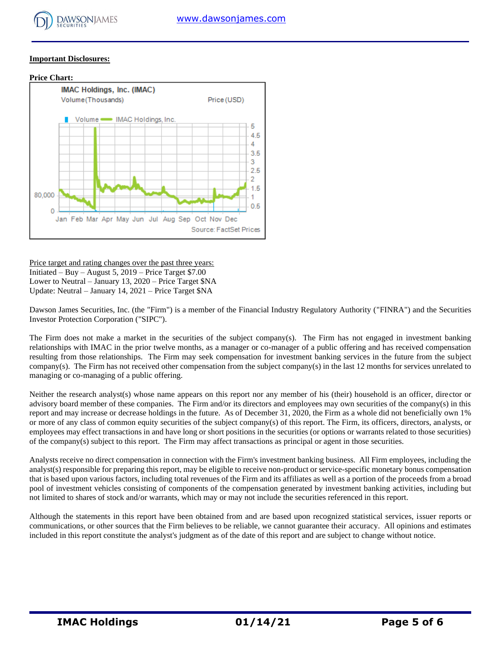

## **Important Disclosures:**



Price target and rating changes over the past three years: Initiated – Buy – August 5, 2019 – Price Target \$7.00 Lower to Neutral – January 13, 2020 – Price Target \$NA Update: Neutral – January 14, 2021 – Price Target \$NA

Dawson James Securities, Inc. (the "Firm") is a member of the Financial Industry Regulatory Authority ("FINRA") and the Securities Investor Protection Corporation ("SIPC").

The Firm does not make a market in the securities of the subject company(s). The Firm has not engaged in investment banking relationships with IMAC in the prior twelve months, as a manager or co-manager of a public offering and has received compensation resulting from those relationships. The Firm may seek compensation for investment banking services in the future from the subject company(s). The Firm has not received other compensation from the subject company(s) in the last 12 months for services unrelated to managing or co-managing of a public offering.

Neither the research analyst(s) whose name appears on this report nor any member of his (their) household is an officer, director or advisory board member of these companies. The Firm and/or its directors and employees may own securities of the company(s) in this report and may increase or decrease holdings in the future. As of December 31, 2020, the Firm as a whole did not beneficially own 1% or more of any class of common equity securities of the subject company(s) of this report. The Firm, its officers, directors, analysts, or employees may effect transactions in and have long or short positions in the securities (or options or warrants related to those securities) of the company(s) subject to this report. The Firm may affect transactions as principal or agent in those securities.

Analysts receive no direct compensation in connection with the Firm's investment banking business. All Firm employees, including the analyst(s) responsible for preparing this report, may be eligible to receive non-product or service-specific monetary bonus compensation that is based upon various factors, including total revenues of the Firm and its affiliates as well as a portion of the proceeds from a broad pool of investment vehicles consisting of components of the compensation generated by investment banking activities, including but not limited to shares of stock and/or warrants, which may or may not include the securities referenced in this report.

Although the statements in this report have been obtained from and are based upon recognized statistical services, issuer reports or communications, or other sources that the Firm believes to be reliable, we cannot guarantee their accuracy. All opinions and estimates included in this report constitute the analyst's judgment as of the date of this report and are subject to change without notice.